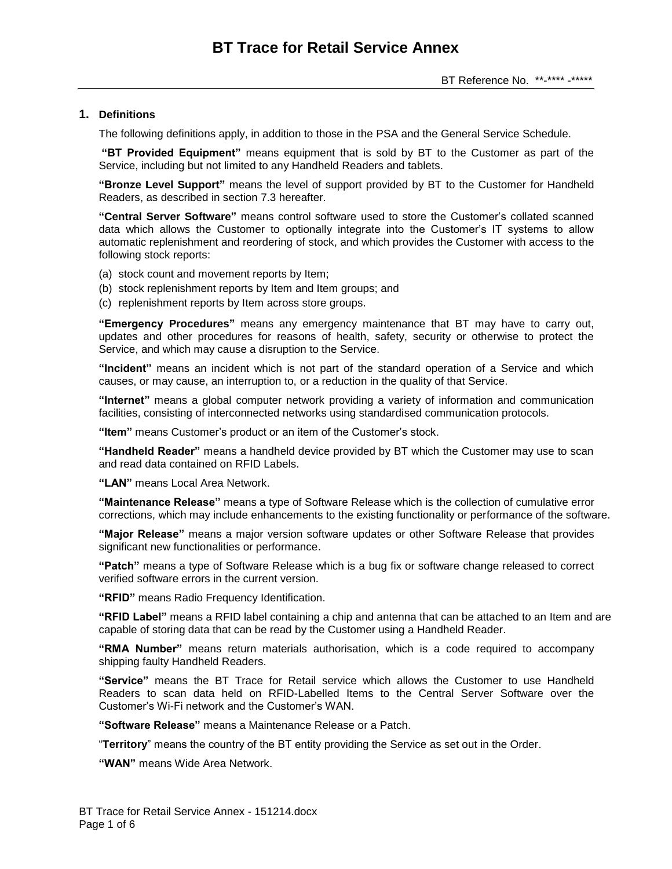# **1. Definitions**

The following definitions apply, in addition to those in the PSA and the General Service Schedule.

**"BT Provided Equipment"** means equipment that is sold by BT to the Customer as part of the Service, including but not limited to any Handheld Readers and tablets.

**"Bronze Level Support"** means the level of support provided by BT to the Customer for Handheld Readers, as described in section 7.3 hereafter.

**"Central Server Software"** means control software used to store the Customer's collated scanned data which allows the Customer to optionally integrate into the Customer's IT systems to allow automatic replenishment and reordering of stock, and which provides the Customer with access to the following stock reports:

- (a) stock count and movement reports by Item;
- (b) stock replenishment reports by Item and Item groups; and
- (c) replenishment reports by Item across store groups.

**"Emergency Procedures"** means any emergency maintenance that BT may have to carry out, updates and other procedures for reasons of health, safety, security or otherwise to protect the Service, and which may cause a disruption to the Service.

**"Incident"** means an incident which is not part of the standard operation of a Service and which causes, or may cause, an interruption to, or a reduction in the quality of that Service.

**"Internet"** means a global computer network providing a variety of information and communication facilities, consisting of interconnected networks using standardised communication protocols.

**"Item"** means Customer's product or an item of the Customer's stock.

**"Handheld Reader"** means a handheld device provided by BT which the Customer may use to scan and read data contained on RFID Labels.

**"LAN"** means Local Area Network.

**"Maintenance Release"** means a type of Software Release which is the collection of cumulative error corrections, which may include enhancements to the existing functionality or performance of the software.

**"Major Release"** means a major version software updates or other Software Release that provides significant new functionalities or performance.

**"Patch"** means a type of Software Release which is a bug fix or software change released to correct verified software errors in the current version.

**"RFID"** means Radio Frequency Identification.

**"RFID Label"** means a RFID label containing a chip and antenna that can be attached to an Item and are capable of storing data that can be read by the Customer using a Handheld Reader.

**"RMA Number"** means return materials authorisation, which is a code required to accompany shipping faulty Handheld Readers.

**"Service"** means the BT Trace for Retail service which allows the Customer to use Handheld Readers to scan data held on RFID-Labelled Items to the Central Server Software over the Customer's Wi-Fi network and the Customer's WAN.

**"Software Release"** means a Maintenance Release or a Patch.

"**Territory**" means the country of the BT entity providing the Service as set out in the Order.

**"WAN"** means Wide Area Network.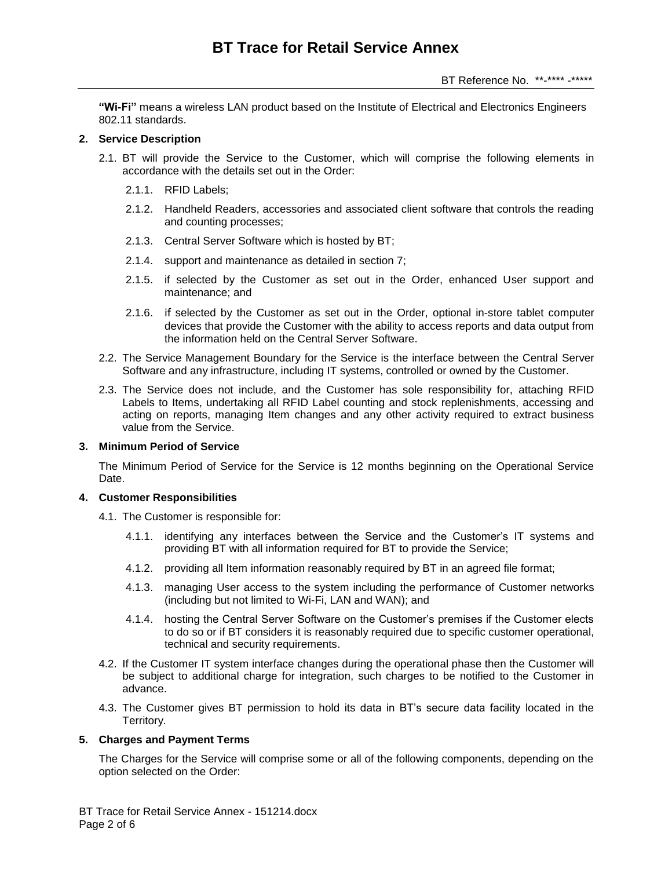**"Wi-Fi"** means a wireless LAN product based on the Institute of Electrical and Electronics Engineers 802.11 standards.

### **2. Service Description**

- 2.1. BT will provide the Service to the Customer, which will comprise the following elements in accordance with the details set out in the Order:
	- 2.1.1. RFID Labels;
	- 2.1.2. Handheld Readers, accessories and associated client software that controls the reading and counting processes;
	- 2.1.3. Central Server Software which is hosted by BT;
	- 2.1.4. support and maintenance as detailed in section [7;](#page-3-0)
	- 2.1.5. if selected by the Customer as set out in the Order, enhanced User support and maintenance; and
	- 2.1.6. if selected by the Customer as set out in the Order, optional in-store tablet computer devices that provide the Customer with the ability to access reports and data output from the information held on the Central Server Software.
- 2.2. The Service Management Boundary for the Service is the interface between the Central Server Software and any infrastructure, including IT systems, controlled or owned by the Customer.
- 2.3. The Service does not include, and the Customer has sole responsibility for, attaching RFID Labels to Items, undertaking all RFID Label counting and stock replenishments, accessing and acting on reports, managing Item changes and any other activity required to extract business value from the Service.

# **3. Minimum Period of Service**

The Minimum Period of Service for the Service is 12 months beginning on the Operational Service Date.

## **4. Customer Responsibilities**

- 4.1. The Customer is responsible for:
	- 4.1.1. identifying any interfaces between the Service and the Customer's IT systems and providing BT with all information required for BT to provide the Service;
	- 4.1.2. providing all Item information reasonably required by BT in an agreed file format;
	- 4.1.3. managing User access to the system including the performance of Customer networks (including but not limited to Wi-Fi, LAN and WAN); and
	- 4.1.4. hosting the Central Server Software on the Customer's premises if the Customer elects to do so or if BT considers it is reasonably required due to specific customer operational, technical and security requirements.
- 4.2. If the Customer IT system interface changes during the operational phase then the Customer will be subject to additional charge for integration, such charges to be notified to the Customer in advance.
- 4.3. The Customer gives BT permission to hold its data in BT's secure data facility located in the Territory.

## **5. Charges and Payment Terms**

The Charges for the Service will comprise some or all of the following components, depending on the option selected on the Order: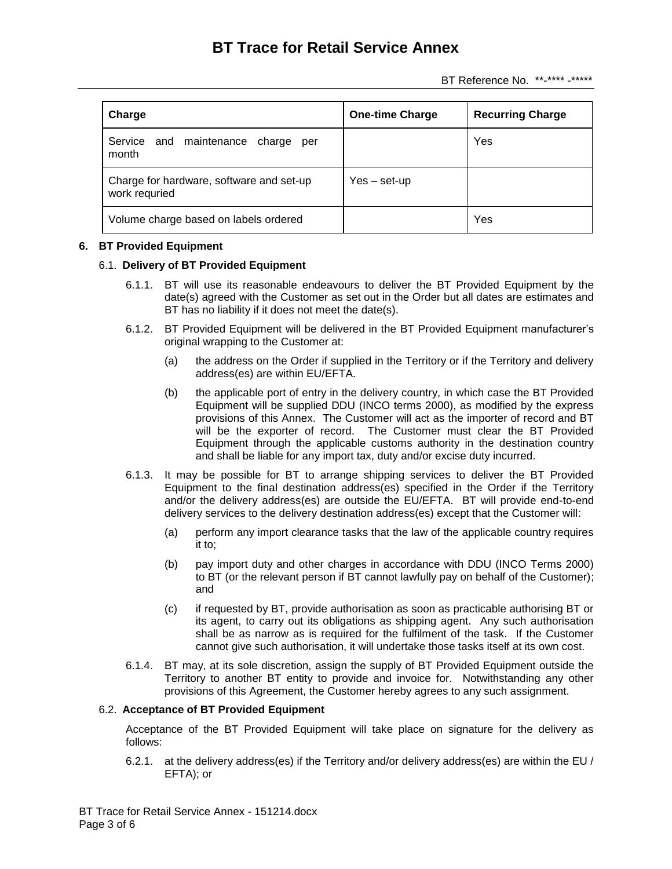BT Reference No. \*\*-\*\*\*\* -\*\*\*\*\*

| Charge                                                    | <b>One-time Charge</b> | <b>Recurring Charge</b> |
|-----------------------------------------------------------|------------------------|-------------------------|
| Service and maintenance charge<br>per<br>month            |                        | Yes                     |
| Charge for hardware, software and set-up<br>work requried | $Yes - set-up$         |                         |
| Volume charge based on labels ordered                     |                        | Yes                     |

## **6. BT Provided Equipment**

## 6.1. **Delivery of BT Provided Equipment**

- 6.1.1. BT will use its reasonable endeavours to deliver the BT Provided Equipment by the date(s) agreed with the Customer as set out in the Order but all dates are estimates and BT has no liability if it does not meet the date(s).
- 6.1.2. BT Provided Equipment will be delivered in the BT Provided Equipment manufacturer's original wrapping to the Customer at:
	- (a) the address on the Order if supplied in the Territory or if the Territory and delivery address(es) are within EU/EFTA.
	- (b) the applicable port of entry in the delivery country, in which case the BT Provided Equipment will be supplied DDU (INCO terms 2000), as modified by the express provisions of this Annex. The Customer will act as the importer of record and BT will be the exporter of record. The Customer must clear the BT Provided Equipment through the applicable customs authority in the destination country and shall be liable for any import tax, duty and/or excise duty incurred.
- <span id="page-2-0"></span>6.1.3. It may be possible for BT to arrange shipping services to deliver the BT Provided Equipment to the final destination address(es) specified in the Order if the Territory and/or the delivery address(es) are outside the EU/EFTA. BT will provide end-to-end delivery services to the delivery destination address(es) except that the Customer will:
	- (a) perform any import clearance tasks that the law of the applicable country requires it to;
	- (b) pay import duty and other charges in accordance with DDU (INCO Terms 2000) to BT (or the relevant person if BT cannot lawfully pay on behalf of the Customer); and
	- (c) if requested by BT, provide authorisation as soon as practicable authorising BT or its agent, to carry out its obligations as shipping agent. Any such authorisation shall be as narrow as is required for the fulfilment of the task. If the Customer cannot give such authorisation, it will undertake those tasks itself at its own cost.
- 6.1.4. BT may, at its sole discretion, assign the supply of BT Provided Equipment outside the Territory to another BT entity to provide and invoice for. Notwithstanding any other provisions of this Agreement, the Customer hereby agrees to any such assignment.

## 6.2. **Acceptance of BT Provided Equipment**

Acceptance of the BT Provided Equipment will take place on signature for the delivery as follows:

6.2.1. at the delivery address(es) if the Territory and/or delivery address(es) are within the EU / EFTA); or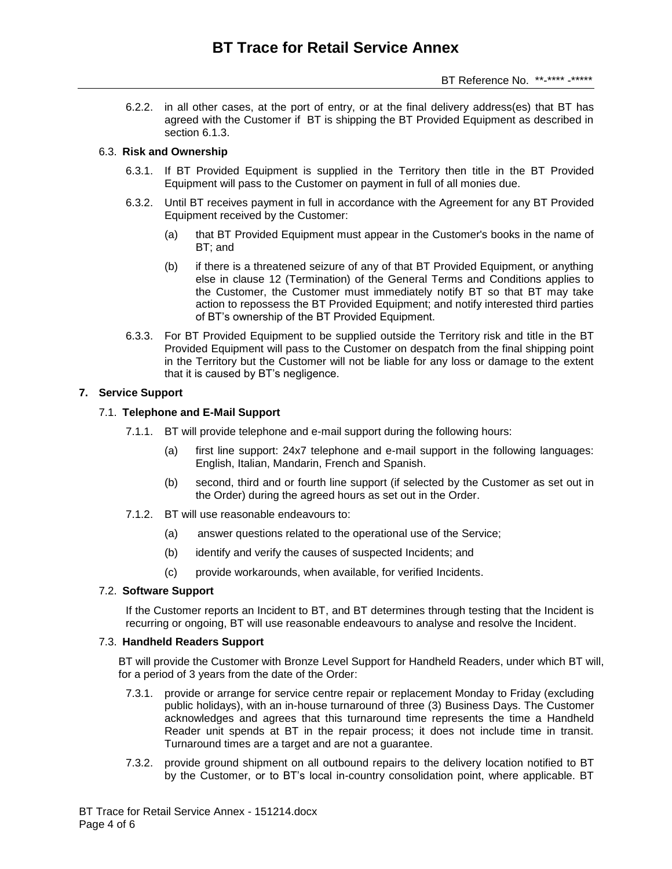6.2.2. in all other cases, at the port of entry, or at the final delivery address(es) that BT has agreed with the Customer if BT is shipping the BT Provided Equipment as described in section [6.1.3.](#page-2-0)

## 6.3. **Risk and Ownership**

- 6.3.1. If BT Provided Equipment is supplied in the Territory then title in the BT Provided Equipment will pass to the Customer on payment in full of all monies due.
- 6.3.2. Until BT receives payment in full in accordance with the Agreement for any BT Provided Equipment received by the Customer:
	- (a) that BT Provided Equipment must appear in the Customer's books in the name of BT; and
	- (b) if there is a threatened seizure of any of that BT Provided Equipment, or anything else in clause 12 (Termination) of the General Terms and Conditions applies to the Customer, the Customer must immediately notify BT so that BT may take action to repossess the BT Provided Equipment; and notify interested third parties of BT's ownership of the BT Provided Equipment.
- 6.3.3. For BT Provided Equipment to be supplied outside the Territory risk and title in the BT Provided Equipment will pass to the Customer on despatch from the final shipping point in the Territory but the Customer will not be liable for any loss or damage to the extent that it is caused by BT's negligence.

#### <span id="page-3-0"></span>**7. Service Support**

### 7.1. **Telephone and E-Mail Support**

- 7.1.1. BT will provide telephone and e-mail support during the following hours:
	- (a) first line support: 24x7 telephone and e-mail support in the following languages: English, Italian, Mandarin, French and Spanish.
	- (b) second, third and or fourth line support (if selected by the Customer as set out in the Order) during the agreed hours as set out in the Order.
- 7.1.2. BT will use reasonable endeavours to:
	- (a) answer questions related to the operational use of the Service;
	- (b) identify and verify the causes of suspected Incidents; and
	- (c) provide workarounds, when available, for verified Incidents.

## 7.2. **Software Support**

If the Customer reports an Incident to BT, and BT determines through testing that the Incident is recurring or ongoing, BT will use reasonable endeavours to analyse and resolve the Incident.

## 7.3. **Handheld Readers Support**

BT will provide the Customer with Bronze Level Support for Handheld Readers, under which BT will, for a period of 3 years from the date of the Order:

- 7.3.1. provide or arrange for service centre repair or replacement Monday to Friday (excluding public holidays), with an in-house turnaround of three (3) Business Days. The Customer acknowledges and agrees that this turnaround time represents the time a Handheld Reader unit spends at BT in the repair process; it does not include time in transit. Turnaround times are a target and are not a guarantee.
- 7.3.2. provide ground shipment on all outbound repairs to the delivery location notified to BT by the Customer, or to BT's local in-country consolidation point, where applicable. BT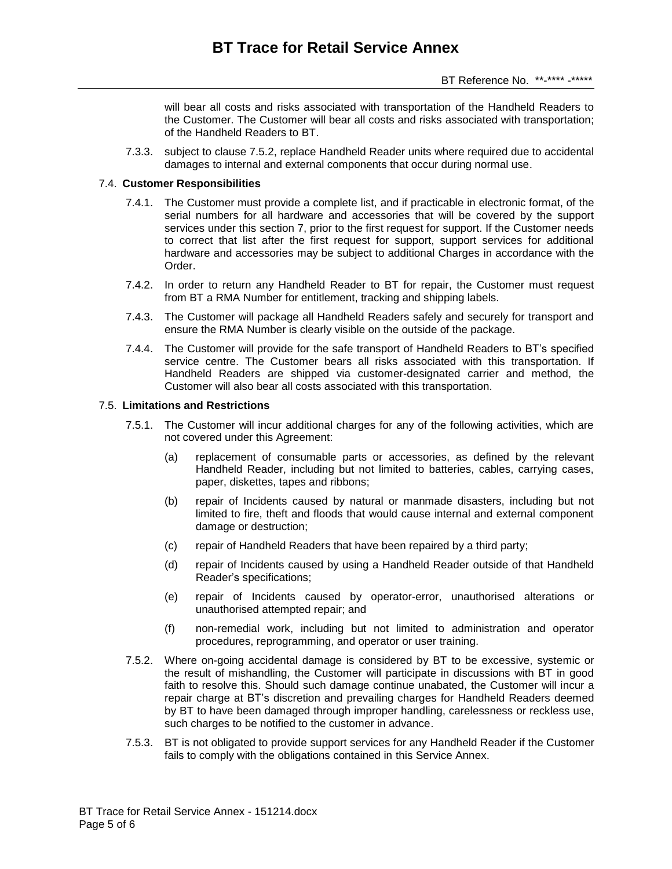will bear all costs and risks associated with transportation of the Handheld Readers to the Customer. The Customer will bear all costs and risks associated with transportation; of the Handheld Readers to BT.

7.3.3. subject to clause 7.5.2, replace Handheld Reader units where required due to accidental damages to internal and external components that occur during normal use.

### 7.4. **Customer Responsibilities**

- 7.4.1. The Customer must provide a complete list, and if practicable in electronic format, of the serial numbers for all hardware and accessories that will be covered by the support services under this section 7, prior to the first request for support. If the Customer needs to correct that list after the first request for support, support services for additional hardware and accessories may be subject to additional Charges in accordance with the Order.
- 7.4.2. In order to return any Handheld Reader to BT for repair, the Customer must request from BT a RMA Number for entitlement, tracking and shipping labels.
- 7.4.3. The Customer will package all Handheld Readers safely and securely for transport and ensure the RMA Number is clearly visible on the outside of the package.
- 7.4.4. The Customer will provide for the safe transport of Handheld Readers to BT's specified service centre. The Customer bears all risks associated with this transportation. If Handheld Readers are shipped via customer-designated carrier and method, the Customer will also bear all costs associated with this transportation.

#### 7.5. **Limitations and Restrictions**

- 7.5.1. The Customer will incur additional charges for any of the following activities, which are not covered under this Agreement:
	- (a) replacement of consumable parts or accessories, as defined by the relevant Handheld Reader, including but not limited to batteries, cables, carrying cases, paper, diskettes, tapes and ribbons;
	- (b) repair of Incidents caused by natural or manmade disasters, including but not limited to fire, theft and floods that would cause internal and external component damage or destruction;
	- (c) repair of Handheld Readers that have been repaired by a third party;
	- (d) repair of Incidents caused by using a Handheld Reader outside of that Handheld Reader's specifications;
	- (e) repair of Incidents caused by operator-error, unauthorised alterations or unauthorised attempted repair; and
	- (f) non-remedial work, including but not limited to administration and operator procedures, reprogramming, and operator or user training.
- 7.5.2. Where on-going accidental damage is considered by BT to be excessive, systemic or the result of mishandling, the Customer will participate in discussions with BT in good faith to resolve this. Should such damage continue unabated, the Customer will incur a repair charge at BT's discretion and prevailing charges for Handheld Readers deemed by BT to have been damaged through improper handling, carelessness or reckless use, such charges to be notified to the customer in advance.
- 7.5.3. BT is not obligated to provide support services for any Handheld Reader if the Customer fails to comply with the obligations contained in this Service Annex.